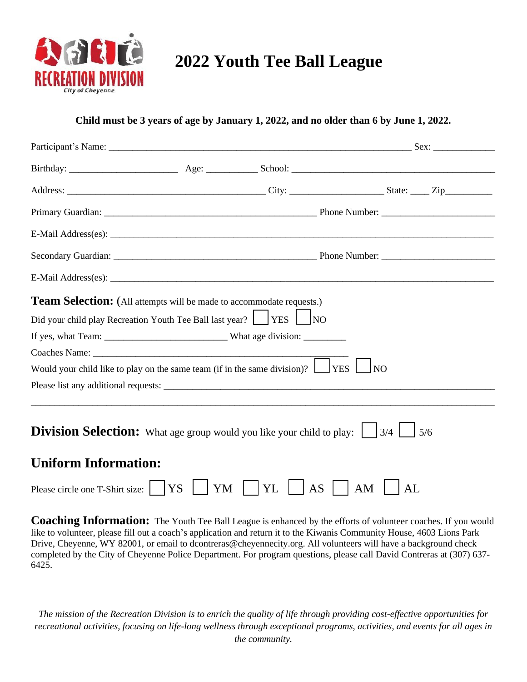

## **2022 Youth Tee Ball League**

## **Child must be 3 years of age by January 1, 2022, and no older than 6 by June 1, 2022.**

| <b>Team Selection:</b> (All attempts will be made to accommodate requests.)                                          |  |                   |                  |    |  |
|----------------------------------------------------------------------------------------------------------------------|--|-------------------|------------------|----|--|
| Did your child play Recreation Youth Tee Ball last year? VES                                                         |  | N <sub>O</sub>    |                  |    |  |
|                                                                                                                      |  |                   |                  |    |  |
|                                                                                                                      |  |                   |                  |    |  |
| Would your child like to play on the same team (if in the same division)? $\Box$                                     |  |                   | <b>YES</b><br>NO |    |  |
|                                                                                                                      |  |                   |                  |    |  |
|                                                                                                                      |  |                   |                  |    |  |
| <b>Division Selection:</b> What age group would you like your child to play: $\begin{bmatrix} 3/4 \end{bmatrix}$ 5/6 |  |                   |                  |    |  |
| <b>Uniform Information:</b>                                                                                          |  |                   |                  |    |  |
| Please circle one T-Shirt size:     YS                                                                               |  | $ YM +YL $<br> AS | AM               | AL |  |

**Coaching Information:** The Youth Tee Ball League is enhanced by the efforts of volunteer coaches. If you would like to volunteer, please fill out a coach's application and return it to the Kiwanis Community House, 4603 Lions Park Drive, Cheyenne, WY 82001, or email to dcontreras@cheyennecity.org. All volunteers will have a background check completed by the City of Cheyenne Police Department. For program questions, please call David Contreras at (307) 637- 6425.

*The mission of the Recreation Division is to enrich the quality of life through providing cost-effective opportunities for recreational activities, focusing on life-long wellness through exceptional programs, activities, and events for all ages in the community.*